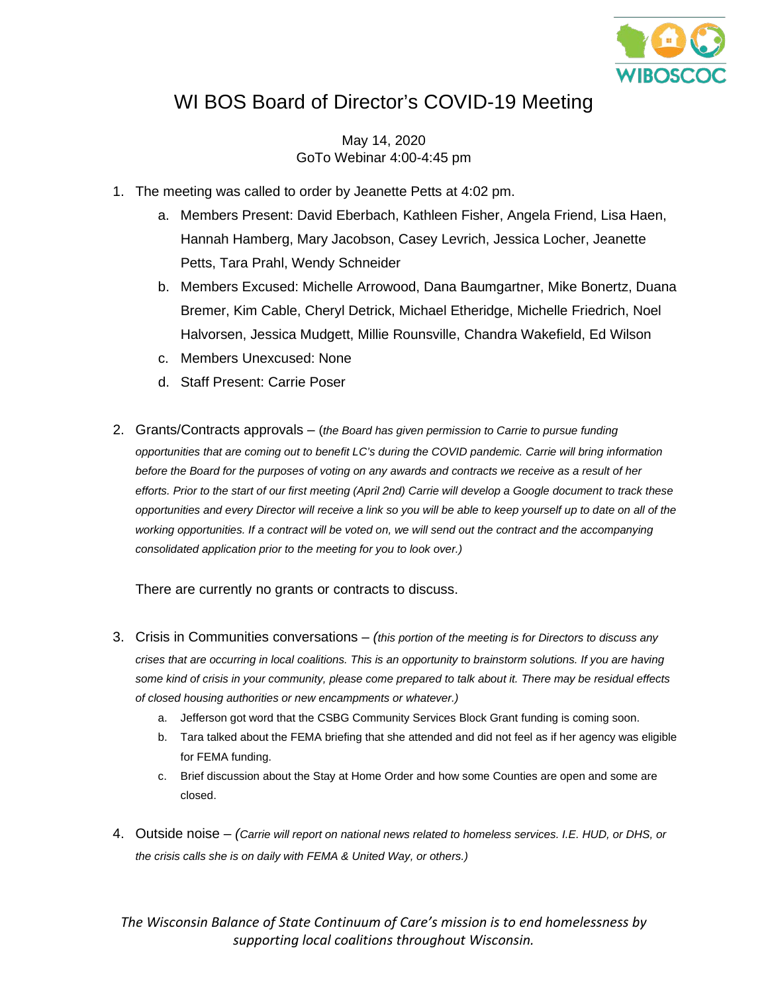

## WI BOS Board of Director's COVID-19 Meeting

May 14, 2020 GoTo Webinar 4:00-4:45 pm

- 1. The meeting was called to order by Jeanette Petts at 4:02 pm.
	- a. Members Present: David Eberbach, Kathleen Fisher, Angela Friend, Lisa Haen, Hannah Hamberg, Mary Jacobson, Casey Levrich, Jessica Locher, Jeanette Petts, Tara Prahl, Wendy Schneider
	- b. Members Excused: Michelle Arrowood, Dana Baumgartner, Mike Bonertz, Duana Bremer, Kim Cable, Cheryl Detrick, Michael Etheridge, Michelle Friedrich, Noel Halvorsen, Jessica Mudgett, Millie Rounsville, Chandra Wakefield, Ed Wilson
	- c. Members Unexcused: None
	- d. Staff Present: Carrie Poser
- 2. Grants/Contracts approvals (*the Board has given permission to Carrie to pursue funding opportunities that are coming out to benefit LC's during the COVID pandemic. Carrie will bring information before the Board for the purposes of voting on any awards and contracts we receive as a result of her efforts. Prior to the start of our first meeting (April 2nd) Carrie will develop a Google document to track these opportunities and every Director will receive a link so you will be able to keep yourself up to date on all of the working opportunities. If a contract will be voted on, we will send out the contract and the accompanying consolidated application prior to the meeting for you to look over.)*

There are currently no grants or contracts to discuss.

- 3. Crisis in Communities conversations *(this portion of the meeting is for Directors to discuss any crises that are occurring in local coalitions. This is an opportunity to brainstorm solutions. If you are having some kind of crisis in your community, please come prepared to talk about it. There may be residual effects of closed housing authorities or new encampments or whatever.)*
	- a. Jefferson got word that the CSBG Community Services Block Grant funding is coming soon.
	- b. Tara talked about the FEMA briefing that she attended and did not feel as if her agency was eligible for FEMA funding.
	- c. Brief discussion about the Stay at Home Order and how some Counties are open and some are closed.
- 4. Outside noise *(Carrie will report on national news related to homeless services. I.E. HUD, or DHS, or the crisis calls she is on daily with FEMA & United Way, or others.)*

*The Wisconsin Balance of State Continuum of Care's mission is to end homelessness by supporting local coalitions throughout Wisconsin.*